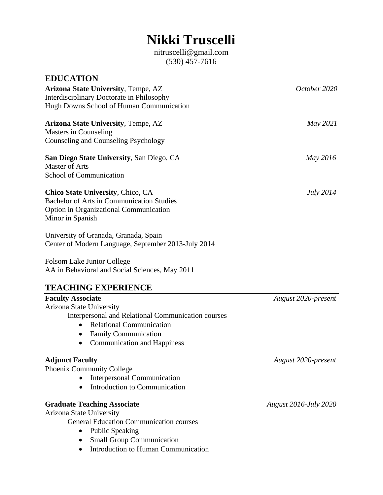# **Nikki Truscelli**

nitruscelli@gmail.com (530) 457-7616

| <b>EDUCATION</b>                                                                                                                                                                                                                                       |                              |
|--------------------------------------------------------------------------------------------------------------------------------------------------------------------------------------------------------------------------------------------------------|------------------------------|
| Arizona State University, Tempe, AZ<br>Interdisciplinary Doctorate in Philosophy<br>Hugh Downs School of Human Communication                                                                                                                           | October 2020                 |
| <b>Arizona State University, Tempe, AZ</b><br>Masters in Counseling<br>Counseling and Counseling Psychology                                                                                                                                            | May 2021                     |
| <b>San Diego State University, San Diego, CA</b><br><b>Master of Arts</b><br>School of Communication                                                                                                                                                   | May 2016                     |
| Chico State University, Chico, CA<br><b>Bachelor of Arts in Communication Studies</b><br><b>Option in Organizational Communication</b><br>Minor in Spanish                                                                                             | <i>July</i> 2014             |
| University of Granada, Granada, Spain<br>Center of Modern Language, September 2013-July 2014                                                                                                                                                           |                              |
| Folsom Lake Junior College<br>AA in Behavioral and Social Sciences, May 2011                                                                                                                                                                           |                              |
| <b>TEACHING EXPERIENCE</b>                                                                                                                                                                                                                             |                              |
| <b>Faculty Associate</b><br>Arizona State University<br>Interpersonal and Relational Communication courses<br><b>Relational Communication</b><br><b>Family Communication</b><br>$\bullet$<br><b>Communication and Happiness</b>                        | August 2020-present          |
| <b>Adjunct Faculty</b><br>Phoenix Community College<br><b>Interpersonal Communication</b><br>$\bullet$<br>Introduction to Communication<br>$\bullet$                                                                                                   | August 2020-present          |
| <b>Graduate Teaching Associate</b><br><b>Arizona State University</b><br><b>General Education Communication courses</b><br><b>Public Speaking</b><br>$\bullet$<br><b>Small Group Communication</b><br>Introduction to Human Communication<br>$\bullet$ | <b>August 2016-July 2020</b> |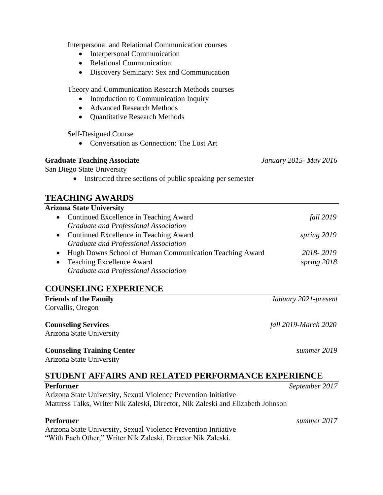Interpersonal and Relational Communication courses

- Interpersonal Communication
- Relational Communication
- Discovery Seminary: Sex and Communication

Theory and Communication Research Methods courses

- Introduction to Communication Inquiry
- Advanced Research Methods
- Quantitative Research Methods

Self-Designed Course

• Conversation as Connection: The Lost Art

#### **Graduate Teaching Associate** *January 2015- May 2016*

San Diego State University

• Instructed three sections of public speaking per semester

# **TEACHING AWARDS**

#### **Arizona State University**

|           | • Continued Excellence in Teaching Award                  | <i>fall</i> 2019 |
|-----------|-----------------------------------------------------------|------------------|
|           | Graduate and Professional Association                     |                  |
|           | • Continued Excellence in Teaching Award                  | spring 2019      |
|           | Graduate and Professional Association                     |                  |
|           | • Hugh Downs School of Human Communication Teaching Award | 2018-2019        |
| $\bullet$ | <b>Teaching Excellence Award</b>                          | spring 2018      |
|           | Graduate and Professional Association                     |                  |

#### **COUNSELING EXPERIENCE**

**Friends of the Family** *January 2021-present* Corvallis, Oregon

**Counseling Services** *fall 2019-March 2020* Arizona State University

#### **Counseling Training Center** *summer 2019*

Arizona State University

# **STUDENT AFFAIRS AND RELATED PERFORMANCE EXPERIENCE**

**Performer** *September 2017* Arizona State University, Sexual Violence Prevention Initiative Mattress Talks, Writer Nik Zaleski, Director, Nik Zaleski and Elizabeth Johnson

Arizona State University, Sexual Violence Prevention Initiative "With Each Other," Writer Nik Zaleski, Director Nik Zaleski.

**Performer** *summer 2017*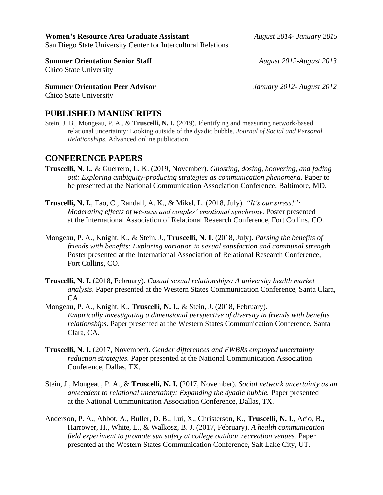**Women's Resource Area Graduate Assistant** *August 2014- January 2015* San Diego State University Center for Intercultural Relations

**Summer Orientation Senior Staff** *August 2012-August 2013* 

Chico State University

**Summer Orientation Peer Advisor** *January 2012- August 2012*

Chico State University

#### **PUBLISHED MANUSCRIPTS**

Stein, J. B., Mongeau, P. A., & **Truscelli, N. I.** (2019). Identifying and measuring network-based relational uncertainty: Looking outside of the dyadic bubble. *Journal of Social and Personal Relationships*. Advanced online publication.

#### **CONFERENCE PAPERS**

- **Truscelli, N. I.**, & Guerrero, L. K. (2019, November). *Ghosting, dosing, hoovering, and fading out: Exploring ambiguity-producing strategies as communication phenomena.* Paper to be presented at the National Communication Association Conference, Baltimore, MD.
- **Truscelli, N. I.**, Tao, C., Randall, A. K., & Mikel, L. (2018, July). *"It's our stress!": Moderating effects of we-ness and couples' emotional synchrony*. Poster presented at the International Association of Relational Research Conference, Fort Collins, CO.
- Mongeau, P. A., Knight, K., & Stein, J., **Truscelli, N. I.** (2018, July). *Parsing the benefits of friends with benefits: Exploring variation in sexual satisfaction and communal strength.* Poster presented at the International Association of Relational Research Conference, Fort Collins, CO.
- **Truscelli, N. I.** (2018, February). *Casual sexual relationships: A university health market analysis*. Paper presented at the Western States Communication Conference, Santa Clara, CA.
- Mongeau, P. A., Knight, K., **Truscelli, N. I.**, & Stein, J. (2018, February). *Empirically investigating a dimensional perspective of diversity in friends with benefits relationships*. Paper presented at the Western States Communication Conference, Santa Clara, CA.
- **Truscelli, N. I.** (2017, November). *Gender differences and FWBRs employed uncertainty reduction strategies.* Paper presented at the National Communication Association Conference, Dallas, TX.
- Stein, J., Mongeau, P. A., & **Truscelli, N. I.** (2017, November). *Social network uncertainty as an antecedent to relational uncertainty: Expanding the dyadic bubble.* Paper presented at the National Communication Association Conference, Dallas, TX.
- Anderson, P. A., Abbot, A., Buller, D. B., Lui, X., Christerson, K., **Truscelli, N. I.**, Acio, B., Harrower, H., White, L., & Walkosz, B. J. (2017, February). *A health communication field experiment to promote sun safety at college outdoor recreation venues*. Paper presented at the Western States Communication Conference, Salt Lake City, UT.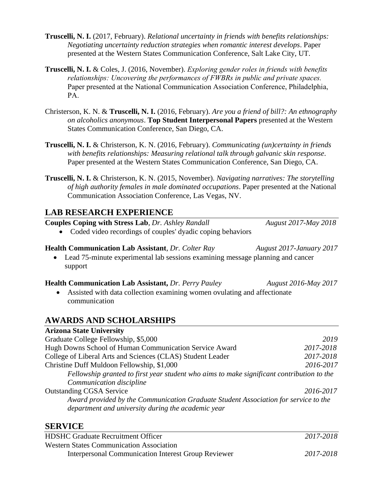- **Truscelli, N. I.** (2017, February). *Relational uncertainty in friends with benefits relationships: Negotiating uncertainty reduction strategies when romantic interest develops*. Paper presented at the Western States Communication Conference, Salt Lake City, UT.
- **Truscelli, N. I.** & Coles, J. (2016, November). *Exploring gender roles in friends with benefits relationships: Uncovering the performances of FWBRs in public and private spaces.* Paper presented at the National Communication Association Conference, Philadelphia, PA.
- Christerson, K. N. & **Truscelli, N. I.** (2016, February). *Are you a friend of bill?: An ethnography on alcoholics anonymous*. **Top Student Interpersonal Papers** presented at the Western States Communication Conference, San Diego, CA.
- **Truscelli, N. I.** & Christerson, K. N. (2016, February). *Communicating (un)certainty in friends with benefits relationships: Measuring relational talk through galvanic skin response*. Paper presented at the Western States Communication Conference, San Diego, CA.
- **Truscelli, N. I.** & Christerson, K. N. (2015, November). *Navigating narratives: The storytelling of high authority females in male dominated occupations*. Paper presented at the National Communication Association Conference, Las Vegas, NV.

# **LAB RESEARCH EXPERIENCE**

**Couples Coping with Stress Lab**, *Dr. Ashley Randall**August 2017-May 2018*

• Coded video recordings of couples' dyadic coping behaviors

#### **Health Communication Lab Assistant**, *Dr. Colter Ray**August 2017-January 2017*

• Lead 75-minute experimental lab sessions examining message planning and cancer support

#### **Health Communication Lab Assistant,** *Dr. Perry Pauley August 2016-May 2017*

• Assisted with data collection examining women ovulating and affectionate communication

# **AWARDS AND SCHOLARSHIPS**

#### **Arizona State University**

| Graduate College Fellowship, \$5,000                                                      | 2019      |
|-------------------------------------------------------------------------------------------|-----------|
| Hugh Downs School of Human Communication Service Award                                    | 2017-2018 |
| College of Liberal Arts and Sciences (CLAS) Student Leader                                | 2017-2018 |
| Christine Duff Muldoon Fellowship, \$1,000                                                | 2016-2017 |
| Fellowship granted to first year student who aims to make significant contribution to the |           |
| Communication discipline                                                                  |           |
| <b>Outstanding CGSA Service</b>                                                           | 2016-2017 |
| Award provided by the Communication Graduate Student Association for service to the       |           |
| department and university during the academic year                                        |           |

#### **SERVICE**

| <b>HDSHC Graduate Recruitment Officer</b>                  | 2017-2018 |
|------------------------------------------------------------|-----------|
| <b>Western States Communication Association</b>            |           |
| <b>Interpersonal Communication Interest Group Reviewer</b> | 2017-2018 |